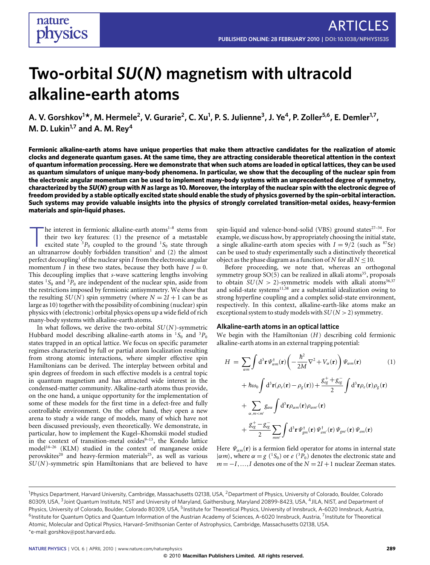# **Two-orbital** *SU***(***N***) magnetism with ultracold alkaline-earth atoms**

A. V. Gorshkov<sup>1\*</sup>, M. Hermele<sup>2</sup>, V. Gurarie<sup>2</sup>, C. Xu<sup>1</sup>, P. S. Julienne<sup>3</sup>, J. Ye<sup>4</sup>, P. Zoller<sup>5,6</sup>, E. Demler<sup>1,7</sup>, **M. D. Lukin1,7 and A. M. Rey<sup>4</sup>**

**Fermionic alkaline-earth atoms have unique properties that make them attractive candidates for the realization of atomic clocks and degenerate quantum gases. At the same time, they are attracting considerable theoretical attention in the context of quantum information processing. Here we demonstrate that when such atoms are loaded in optical lattices, they can be used as quantum simulators of unique many-body phenomena. In particular, we show that the decoupling of the nuclear spin from the electronic angular momentum can be used to implement many-body systems with an unprecedented degree of symmetry, characterized by the** *SU***(***N***) group with** *N* **as large as 10. Moreover, the interplay of the nuclear spin with the electronic degree of freedom provided by a stable optically excited state should enable the study of physics governed by the spin–orbital interaction. Such systems may provide valuable insights into the physics of strongly correlated transition-metal oxides, heavy-fermion materials and spin-liquid phases.**

The interest in fermionic alkaline-earth atoms<sup>[1](#page-5-0)-8</sup> stems from<br>their two key features: (1) the presence of a metastable<br>excited state <sup>3</sup> $P_0$  coupled to the ground <sup>1</sup> $S_0$  state through<br>an ultranarrow doubly forbidden t he interest in fermionic alkaline-earth atoms<sup>[1](#page-5-0)-8</sup> stems from their two key features: (1) the presence of a metastable excited state  ${}^{3}P_0$  coupled to the ground  ${}^{1}S_0$  state through perfect decoupling<sup>[1](#page-5-0)</sup> of the nuclear spin  $I$  from the electronic angular momentum  $\bar{J}$  in these two states, because they both have  $\bar{J} = 0$ . This decoupling implies that *s*-wave scattering lengths involving states  ${}^{1}S_{0}$  and  ${}^{3}P_{0}$  are independent of the nuclear spin, aside from the restrictions imposed by fermionic antisymmetry. We show that the resulting  $SU(N)$  spin symmetry (where  $N = 2I + 1$  can be as large as 10) together with the possibility of combining (nuclear) spin physics with (electronic) orbital physics opens up a wide field of rich many-body systems with alkaline-earth atoms.

In what follows, we derive the two-orbital *SU*(*N*)-symmetric Hubbard model describing alkaline-earth atoms in <sup>1</sup>S<sub>0</sub> and <sup>3</sup>P<sub>0</sub> states trapped in an optical lattice. We focus on specific parameter regimes characterized by full or partial atom localization resulting from strong atomic interactions, where simpler effective spin Hamiltonians can be derived. The interplay between orbital and spin degrees of freedom in such effective models is a central topic in quantum magnetism and has attracted wide interest in the condensed-matter community. Alkaline-earth atoms thus provide, on the one hand, a unique opportunity for the implementation of some of these models for the first time in a defect-free and fully controllable environment. On the other hand, they open a new arena to study a wide range of models, many of which have not been discussed previously, even theoretically. We demonstrate, in particular, how to implement the Kugel–Khomskii model studied in the context of transition-metal oxides $9-13$  $9-13$ , the Kondo lattice model[14](#page-5-4)[–26](#page-6-0) (KLM) studied in the context of manganese oxide perovskites<sup>[20](#page-5-5)</sup> and heavy-fermion materials<sup>[25](#page-6-1)</sup>, as well as various *SU*(*N*)-symmetric spin Hamiltonians that are believed to have

spin-liquid and valence-bond-solid (VBS) ground states $27-34$  $27-34$ . For example, we discuss how, by appropriately choosing the initial state, a single alkaline-earth atom species with  $I = 9/2$  (such as <sup>87</sup>Sr) can be used to study experimentally such a distinctively theoretical object as the phase diagram as a function of  $N$  for all  $N \leq 10$ .

Before proceeding, we note that, whereas an orthogonal symmetry group  $SO(5)$  can be realized in alkali atoms<sup>[35](#page-6-4)</sup>, proposals to obtain  $SU(N > 2)$ -symmetric models with alkali atoms<sup>[36,](#page-6-5)[37](#page-6-6)</sup> and solid-state systems<sup>[11,](#page-5-6)[38](#page-6-7)</sup> are a substantial idealization owing to strong hyperfine coupling and a complex solid-state environment, respectively. In this context, alkaline-earth-like atoms make an exceptional system to study models with *SU*(*N* >2) symmetry.

## **Alkaline-earth atoms in an optical lattice**

We begin with the Hamiltonian (*H*) describing cold fermionic alkaline-earth atoms in an external trapping potential:

<span id="page-0-0"></span>
$$
H = \sum_{\alpha m} \int d^3 \mathbf{r} \, \Psi_{\alpha m}^{\dagger}(\mathbf{r}) \left( -\frac{\hbar^2}{2M} \nabla^2 + V_{\alpha}(\mathbf{r}) \right) \Psi_{\alpha m}(\mathbf{r}) \tag{1}
$$
  
+  $\hbar \omega_0 \int d^3 \mathbf{r} (\rho_e(\mathbf{r}) - \rho_g(\mathbf{r})) + \frac{g_{eg}^{\dagger} + g_{eg}^{\dagger}}{2} \int d^3 \mathbf{r} \rho_e(\mathbf{r}) \rho_g(\mathbf{r})$   
+  $\sum_{\alpha, m < m'} g_{\alpha \alpha} \int d^3 \mathbf{r} \rho_{\alpha m}(\mathbf{r}) \rho_{\alpha m'}(\mathbf{r})$   
+  $\frac{g_{eg}^{\dagger} - g_{eg}^{\dagger}}{2} \sum_{mm'} \int d^3 \mathbf{r} \, \Psi_{gm}^{\dagger}(\mathbf{r}) \, \Psi_{cm'}(\mathbf{r}) \, \Psi_{cm'}(\mathbf{r}) \, \Psi_{cm}(\mathbf{r})$ 

Here  $\Psi_{\alpha m}(\mathbf{r})$  is a fermion field operator for atoms in internal state  $|\alpha m\rangle$ , where  $\alpha = g(^{1}S_{0})$  or  $e(^{3}P_{0})$  denotes the electronic state and  $m = -I, ..., I$  denotes one of the  $N = 2I + 1$  nuclear Zeeman states.

<sup>&</sup>lt;sup>1</sup>Physics Department, Harvard University, Cambridge, Massachusetts 02138, USA, <sup>2</sup>Department of Physics, University of Colorado, Boulder, Colorado 80309, USA, <sup>3</sup>Joint Quantum Institute, NIST and University of Maryland, Gaithersburg, Maryland 20899-8423, USA, <sup>4</sup>JILA, NIST, and Department of Physics, University of Colorado, Boulder, Colorado 80309, USA, <sup>5</sup>Institute for Theoretical Physics, University of Innsbruck, A-6020 Innsbruck, Austria, <sup>6</sup>Institute for Quantum Optics and Quantum Information of the Austrian Academy of Sciences, A-6020 Innsbruck, Austria, <sup>7</sup>Institute for Theoretical Atomic, Molecular and Optical Physics, Harvard–Smithsonian Center of Astrophysics, Cambridge, Massachusetts 02138, USA. \*e-mail: [gorshkov@post.harvard.edu.](mailto:gorshkov@post.harvard.edu)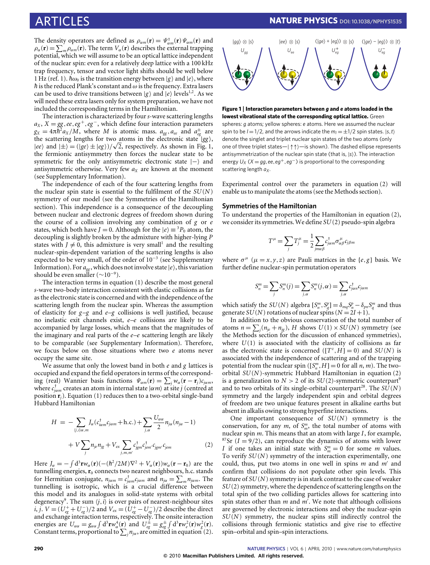The density operators are defined as  $\rho_{\alpha m}(\mathbf{r}) = \Psi_{\alpha m}^{\dagger}(\mathbf{r}) \Psi_{\alpha m}(\mathbf{r})$  and  $\rho_{\alpha}(\mathbf{r}) = \sum_{m} \rho_{\alpha m}(\mathbf{r})$ . The term  $V_{\alpha}(\mathbf{r})$  describes the external trapping potential, which we will assume to be an optical lattice independent of the nuclear spin: even for a relatively deep lattice with a 100 kHz trap frequency, tensor and vector light shifts should be well below 1 Hz (ref. [1\)](#page-5-0).  $\hbar\omega_0$  is the transition energy between  $|g\rangle$  and  $|e\rangle$ , where  $\hbar$  is the reduced Plank's constant and  $\omega$  is the frequency. Extra lasers can be used to drive transitions between  $|g\rangle$  and  $|e\rangle$  levels<sup>[1](#page-5-0)[,2](#page-5-7)</sup>. As we will need these extra lasers only for system preparation, we have not included the corresponding terms in the Hamiltonian.

The interaction is characterized by four*s*-wave scattering lengths  $a_X$ ,  $X = gg$ , *ee*,  $eg^+$ ,  $eg^-$ , which define four interaction parameters  $g_X = 4\pi\hbar^2 a_X/M$ , where *M* is atomic mass.  $a_{gg}$ ,  $a_{ee}$  and  $a_{eg}^{\pm}$  are the scattering lengths for two atoms in the electronic state *|gg* }, the scattering lengths for two<br>  $|ee\rangle$  and  $|\pm\rangle = (|ge\rangle \pm |eg\rangle)/\sqrt{\ }$ 2, respectively. As shown in [Fig. 1,](#page-1-0) the fermionic antisymmetry then forces the nuclear state to be symmetric for the only antisymmetric electronic state  $|-\rangle$  and antisymmetric otherwise. Very few *a<sup>X</sup>* are known at the moment (see Supplementary Information).

The independence of each of the four scattering lengths from the nuclear spin state is essential to the fulfilment of the *SU*(*N*) symmetry of our model (see the Symmetries of the Hamiltonian section). This independence is a consequence of the decoupling between nuclear and electronic degrees of freedom shown during the course of a collision involving any combination of *g* or *e* states, which both have *J* = 0. Although for the  $|e\rangle = {}^{3}P_{0}$  atom, the decoupling is slightly broken by the admixture with higher-lying *P* states with  $J \neq 0$ , this admixture is very small<sup>[1](#page-5-0)</sup> and the resulting nuclear-spin-dependent variation of the scattering lengths is also expected to be very small, of the order of 10<sup>−</sup><sup>3</sup> (see Supplementary Information). For  $a_{gg}$ , which does not involve state  $|e\rangle$ , this variation should be even smaller ( $\sim 10^{-9}$ ).

The interaction terms in equation [\(1\)](#page-0-0) describe the most general *s*-wave two-body interaction consistent with elastic collisions as far as the electronic state is concerned and with the independence of the scattering length from the nuclear spin. Whereas the assumption of elasticity for *g*–*g* and *e*–*g* collisions is well justified, because no inelastic exit channels exist, *e*–*e* collisions are likely to be accompanied by large losses, which means that the magnitudes of the imaginary and real parts of the *e*–*e* scattering length are likely to be comparable (see Supplementary Information). Therefore, we focus below on those situations where two *e* atoms never occupy the same site.

We assume that only the lowest band in both *e* and *g* lattices is occupied and expand the field operators in terms of the corresponding (real) Wannier basis functions  $\Psi_{\alpha m}(\mathbf{r}) = \sum_j w_{\alpha}(\mathbf{r} - \mathbf{r}_j)c_{j\alpha m}$ , where  $c_{jam}^{\dagger}$  creates an atom in internal state  $|\alpha m\rangle$  at site *j* (centred at position **r***j*). Equation [\(1\)](#page-0-0) reduces then to a two-orbital single-band Hubbard Hamiltonian

<span id="page-1-1"></span>
$$
H = -\sum_{(j,i)\alpha,m} J_{\alpha}(c_{i\alpha m}^{\dagger} c_{j\alpha m} + \text{h.c.}) + \sum_{j,\alpha} \frac{U_{\alpha\alpha}}{2} n_{j\alpha} (n_{j\alpha} - 1)
$$

$$
+ V \sum_{j} n_{j e} n_{j g} + V_{e x} \sum_{j,m,m'} c_{j g m'}^{\dagger} c_{j g m'} c_{j e m} \tag{2}
$$

Here  $J_{\alpha} = -\int d^3 \mathbf{r} w_{\alpha}(\mathbf{r})\left(-(\hbar^2/2M)\nabla^2 + V_{\alpha}(\mathbf{r})\right)w_{\alpha}(\mathbf{r} - \mathbf{r}_0)$  are the tunnelling energies,  $\mathbf{r}_0$  connects two nearest neighbours, h.c. stands for Hermitian conjugate,  $n_{j\alpha m} = c_{j\alpha m}^{\dagger}c_{j\alpha m}$  and  $n_{j\alpha} = \sum_{m} n_{j\alpha m}$ . The tunnelling is isotropic, which is a crucial difference between this model and its analogues in solid-state systems with orbital degeneracy<sup>[9](#page-5-2)</sup>. The sum  $\langle j, i \rangle$  is over pairs of nearest-neighbour sites *i*, *j*. *V* =  $(U_{eg}^+ + U_{eg}^-)/2$  and  $V_{ex} = (\tilde{U}_{eg}^+ - U_{eg}^-)/2$  describe the direct and exchange interaction terms, respectively. The onsite interaction energies are  $U_{\alpha\alpha} = g_{\alpha\alpha} \int d^3 \mathbf{r} w_{\alpha}^4(\mathbf{r})$  and  $U_{eg}^{\pm} = g_{eg}^{\pm} \int d^3 \mathbf{r} w_e^2(\mathbf{r}) w_g^2(\mathbf{r})$ . Constant terms, proportional to  $\sum_j n_{j\alpha}$ , are omitted in equation [\(2\)](#page-1-1).



<span id="page-1-0"></span>**Figure 1** | **Interaction parameters between** *g* **and** *e* **atoms loaded in the lowest vibrational state of the corresponding optical lattice.** Green spheres: *g* atoms; yellow spheres: *e* atoms. Here we assumed the nuclear spin to be  $I = 1/2$ , and the arrows indicate the  $m_I = \pm 1/2$  spin states.  $|s,t\rangle$ denote the singlet and triplet nuclear spin states of the two atoms (only one of three triplet states—| ↑↑)—is shown). The dashed ellipse represents antisymmetrization of the nuclear spin state (that is, |*s*i). The interaction energy  $U_X$  ( $X = qq$ , ee, e $q^+$ , e $q^-$ ) is proportional to the corresponding scattering length *aX*.

Experimental control over the parameters in equation [\(2\)](#page-1-1) will enable us to manipulate the atoms (see the Methods section).

# **Symmetries of the Hamiltonian**

To understand the properties of the Hamiltonian in equation [\(2\)](#page-1-1), we consider its symmetries.We define *SU*(2) pseudo-spin algebra

$$
T^{\mu} = \sum_{j} T_{j}^{\mu} = \frac{1}{2} \sum_{j m \alpha \beta} c_{j \alpha m}^{\dagger} \sigma_{\alpha \beta}^{\mu} c_{j \beta m}
$$

where  $\sigma^{\mu}$  ( $\mu = x, y, z$ ) are Pauli matrices in the {*e*,*g*} basis. We further define nuclear-spin permutation operators

$$
S_n^m = \sum_j S_n^m(j) = \sum_{j,\alpha} S_n^m(j,\alpha) = \sum_{j,\alpha} c_{j\alpha n}^\dagger c_{j\alpha m}
$$

which satisfy the *SU*(*N*) algebra  $[S_n^m, S_q^p] = \delta_{mq} S_n^p - \delta_{pn} S_q^m$  and thus generate *SU*(*N*) rotations of nuclear spins ( $N = 2I + 1$ ).

In addition to the obvious conservation of the total number of atoms  $n = \sum_j (n_{je} + n_{jg})$ , *H* shows  $U(1) \times SU(N)$  symmetry (see the Methods section for the discussion of enhanced symmetries), where  $U(1)$  is associated with the elasticity of collisions as far as the electronic state is concerned  $([T^z, H] = 0)$  and  $SU(N)$  is associated with the independence of scattering and of the trapping potential from the nuclear spin ( $[S_n^m, H] = 0$  for all *n*, *m*). The twoorbital *SU*(*N*)-symmetric Hubbard Hamiltonian in equation [\(2\)](#page-1-1) is a generalization to  $N > 2$  of its  $SU(2)$ -symmetric counterpart<sup>[9](#page-5-2)</sup> and to two orbitals of its single-orbital counterpart<sup>[28](#page-6-8)</sup>. The  $SU(N)$ symmetry and the largely independent spin and orbital degrees of freedom are two unique features present in alkaline earths but absent in alkalis owing to strong hyperfine interactions.

One important consequence of *SU*(*N*) symmetry is the conservation, for any  $m$ , of  $S_m^m$ , the total number of atoms with nuclear spin *m*. This means that an atom with large *I*, for example, <sup>87</sup>Sr ( $I = 9/2$ ), can reproduce the dynamics of atoms with lower *I* if one takes an initial state with  $S_m^m = 0$  for some *m* values. To verify *SU*(*N*) symmetry of the interaction experimentally, one could, thus, put two atoms in one well in spins *m* and *m'* and confirm that collisions do not populate other spin levels. This feature of *SU*(*N*) symmetry is in stark contrast to the case of weaker *SU*(2) symmetry, where the dependence of scattering lengths on the total spin of the two colliding particles allows for scattering into spin states other than  $m$  and  $m'$ . We note that although collisions are governed by electronic interactions and obey the nuclear-spin *SU*(*N*) symmetry, the nuclear spins still indirectly control the collisions through fermionic statistics and give rise to effective spin–orbital and spin–spin interactions.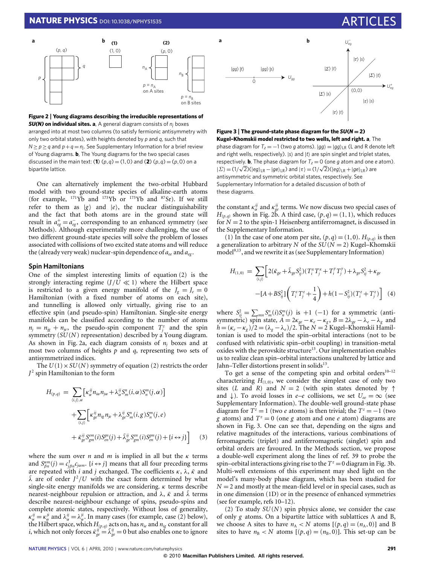# **NATURE PHYSICS** DOI[: 10.1038/NPHYS1535](http://www.nature.com/doifinder/10.1038/nphys1535)



<span id="page-2-0"></span>**Figure 2** | **Young diagrams describing the irreducible representations of** *SU(N)* **on individual sites. a**, A general diagram consists of *n<sup>j</sup>* boxes arranged into at most two columns (to satisfy fermionic antisymmetry with only two orbital states), with heights denoted by *p* and *q*, such that  $N \ge p \ge q$  and  $p + q = n_j$ . See Supplementary Information for a brief review of Young diagrams. **b**, The Young diagrams for the two special cases discussed in the main text: (1)  $(p,q) = (1,0)$  and (2)  $(p,q) = (p,0)$  on a bipartite lattice.

One can alternatively implement the two-orbital Hubbard model with two ground-state species of alkaline-earth atoms (for example,  $^{171}\text{Yb}$  and  $^{173}\text{Yb}$  or  $^{173}\text{Yb}$  and  $^{87}\text{Sr}$ ). If we still refer to them as  $|g\rangle$  and  $|e\rangle$ , the nuclear distinguishability and the fact that both atoms are in the ground state will result in  $a_{eg}^+ = a_{eg}^-$ , corresponding to an enhanced symmetry (see Methods). Although experimentally more challenging, the use of two different ground-state species will solve the problem of losses associated with collisions of two excited state atoms and will reduce the (already very weak) nuclear-spin dependence of *aee* and *aeg* .

### **Spin Hamiltonians**

One of the simplest interesting limits of equation [\(2\)](#page-1-1) is the strongly interacting regime  $(J/U \ll 1)$  where the Hilbert space is restricted to a given energy manifold of the  $J_g = J_e = 0$ Hamiltonian (with a fixed number of atoms on each site), and tunnelling is allowed only virtually, giving rise to an effective spin (and pseudo-spin) Hamiltonian. Single-site energy manifolds can be classified according to the number of atoms  $n_j = n_{jg} + n_{je}$ , the pseudo-spin component  $T_j^z$  and the spin symmetry (*SU*(*N*) representation) described by a Young diagram. As shown in [Fig. 2a](#page-2-0), each diagram consists of  $n_j$  boxes and at most two columns of heights *p* and *q*, representing two sets of antisymmetrized indices.

The  $U(1) \times SU(N)$  symmetry of equation [\(2\)](#page-1-1) restricts the order *J* 2 spin Hamiltonian to the form

<span id="page-2-2"></span>
$$
H_{(p,q)} = \sum_{(i,j),\alpha} \left[ \kappa_{\alpha}^{ij} n_{i\alpha} n_{j\alpha} + \lambda_{\alpha}^{ij} S_m^n(i,\alpha) S_n^m(j,\alpha) \right]
$$
  
+ 
$$
\sum_{(i,j)} \left[ \kappa_{ge}^{ij} n_{ig} n_{je} + \lambda_{ge}^{ij} S_m^n(i,g) S_n^m(j,e) + \tilde{\kappa}_{ge}^{ij} S_{gm}^m(i) S_{en}^{gm}(j) + \tilde{\lambda}_{ge}^{ij} S_{gm}^m(i) S_{en}^{gm}(j) + \{i \leftrightarrow j\} \right]
$$
(3)

where the sum over *n* and *m* is implied in all but the  $\kappa$  terms and  $S_{\beta n}^{\alpha m}(j) = c_{j\beta n}^{\dagger}c_{j\alpha m}$ .  $\{i \leftrightarrow j\}$  means that all four preceding terms are repeated with *i* and *j* exchanged. The coefficients κ, λ, κ*˜* and  $\tilde{\lambda}$  are of order  $J^2/U$  with the exact form determined by what single-site energy manifolds we are considering.  $\kappa$  terms describe nearest-neighbour repulsion or attraction, and λ, κ*˜* and λ*˜* terms describe nearest-neighbour exchange of spins, pseudo-spins and complete atomic states, respectively. Without loss of generality,  $\kappa_{\alpha}^{ij} = \kappa_{\alpha}^{ji}$  and  $\lambda_{\alpha}^{ij} = \lambda_{\alpha}^{ji}$ . In many cases (for example, case (2) below), the Hilbert space, which *H*(*p*,*q*) acts on, has *nie* and *nig* constant for all *i*, which not only forces  $\tilde{\kappa}_{ge}^{ij} = \tilde{\lambda}_{ge}^{ij} = 0$  but also enables one to ignore



<span id="page-2-1"></span>**Figure 3** | **The ground-state phase diagram for the**  $SU(N = 2)$ **Kugel–Khomskii model restricted to two wells, left and right. a**, The phase diagram for  $T_z = -1$  (two *g* atoms).  $|qq\rangle = |qq\rangle_{LR}$  (L and R denote left and right wells, respectively).  $|s\rangle$  and  $|t\rangle$  are spin singlet and triplet states, respectively. **b**, The phase diagram for  $T_z = 0$  (one *g* atom and one *e* atom).  $|E\rangle = (1/\sqrt{2})(|eg\rangle_{LR} - |ge\rangle_{LR})$  and  $|\tau\rangle = (1/\sqrt{2})(|eg\rangle_{LR} + |ge\rangle_{LR})$  are antisymmetric and symmetric orbital states, respectively. See Supplementary Information for a detailed discussion of both of these diagrams.

the constant  $\kappa_{\alpha}^{ij}$  and  $\kappa_{ge}^{ij}$  terms. We now discuss two special cases of  $H_{(p,q)}$  shown in [Fig. 2b](#page-2-0). A third case,  $(p,q) = (1,1)$ , which reduces for  $N = 2$  to the spin-1 Heisenberg antiferromagnet, is discussed in the Supplementary Information.

(1) In the case of one atom per site,  $(p, q) = (1, 0)$ .  $H_{(p,q)}$  is then a generalization to arbitrary *N* of the  $SU(N = 2)$  Kugel–Khomskii model<sup>[9,](#page-5-2)[13](#page-5-3)</sup>, and we rewrite it as (see Supplementary Information)

$$
H_{(1,0)} = \sum_{(i,j)} \left[ 2(\tilde{\kappa}_{ge} + \tilde{\lambda}_{ge} S_{ij}^2)(T_i^x T_j^x + T_i^y T_j^y) + \lambda_{ge} S_{ij}^2 + \kappa_{ge} \right]
$$

$$
- [A + BS_{ij}^2] \left( T_i^z T_j^z + \frac{1}{4} \right) + h(1 - S_{ij}^2)(T_i^z + T_j^z) \right] \tag{4}
$$

where  $S_{ij}^2 = \sum_{mn} S_m^n(i) S_n^m(j)$  is +1 (−1) for a symmetric (antisymmetric) spin state,  $A = 2\kappa_{ge} - \kappa_e - \kappa_g$ ,  $B = 2\lambda_{ge} - \lambda_e - \lambda_g$  and  $h = (\kappa_e - \kappa_g)/2 = (\lambda_g - \lambda_e)/2$ . The  $N = 2$  Kugel–Khomskii Hamiltonian is used to model the spin–orbital interactions (not to be confused with relativistic spin–orbit coupling) in transition-metal oxides with the perovskite structure<sup>[13](#page-5-3)</sup>. Our implementation enables us to realize clean spin–orbital interactions unaltered by lattice and Jahn-Teller distortions present in solids<sup>[13](#page-5-3)</sup>.

To get a sense of the competing spin and orbital orders $10-12$  $10-12$ characterizing  $H_{(1,0)}$ , we consider the simplest case of only two sites (*L* and *R*) and  $N = 2$  (with spin states denoted by  $\uparrow$ and  $\downarrow$ ). To avoid losses in *e–e* collisions, we set  $U_{ee} = \infty$  (see Supplementary Information). The double-well ground-state phase diagram for  $T^z = 1$  (two *e* atoms) is then trivial; the  $T^z = -1$  (two *g* atoms) and  $T^z = 0$  (one *g* atom and one *e* atom) diagrams are shown in [Fig. 3.](#page-2-1) One can see that, depending on the signs and relative magnitudes of the interactions, various combinations of ferromagnetic (triplet) and antiferromagnetic (singlet) spin and orbital orders are favoured. In the Methods section, we propose a double-well experiment along the lines of ref. [39](#page-6-9) to probe the spin–orbital interactions giving rise to the  $T^z = 0$  diagram in [Fig. 3b](#page-2-1). Multi-well extensions of this experiment may shed light on the model's many-body phase diagram, which has been studied for  $N = 2$  and mostly at the mean-field level or in special cases, such as in one dimension (1D) or in the presence of enhanced symmetries (see for example, refs [10](#page-5-8)[–12\)](#page-5-9).

(2) To study *SU*(*N*) spin physics alone, we consider the case of only *g* atoms. On a bipartite lattice with sublattices A and B, we choose A sites to have  $n_A < N$  atoms  $[(p, q) = (n_A, 0)]$  and B sites to have  $n<sub>B</sub> < N$  atoms  $[(p,q) = (n<sub>B</sub>,0)]$ . This set-up can be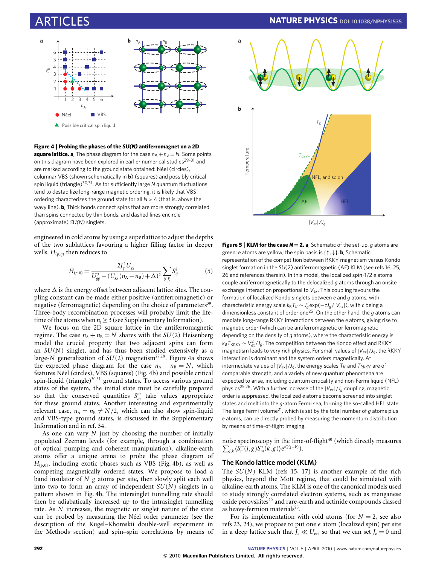

<span id="page-3-0"></span>**Figure 4** | **Probing the phases of the** *SU(N)* **antiferromagnet on a 2D square lattice. a**, The phase diagram for the case  $n_A + n_B = N$ . Some points on this diagram have been explored in earlier numerical studies<sup>[29](#page-6-10)-31</sup> and are marked according to the ground state obtained: Néel (circles), columnar VBS (shown schematically in **b**) (squares) and possibly critical spin liquid (triangle)<sup>[30](#page-6-12)[,31](#page-6-11)</sup>. As for sufficiently large *N* quantum fluctuations tend to destabilize long-range magnetic ordering, it is likely that VBS ordering characterizes the ground state for all *N* > 4 (that is, above the wavy line). **b**, Thick bonds connect spins that are more strongly correlated than spins connected by thin bonds, and dashed lines encircle (approximate) *SU(N)* singlets.

engineered in cold atoms by using a superlattice to adjust the depths of the two sublattices favouring a higher filling factor in deeper wells.  $H_{(p,q)}$  then reduces to

$$
H_{(p,0)} = \frac{2J_g^2 U_{gg}}{U_{gg}^2 - (U_{gg}(n_A - n_B) + \Delta)^2} \sum_{\langle i,j \rangle} S_{ij}^2 \tag{5}
$$

where  $\Delta$  is the energy offset between adjacent lattice sites. The coupling constant can be made either positive (antiferromagnetic) or negative (ferromagnetic) depending on the choice of parameters<sup>[39](#page-6-9)</sup>. Three-body recombination processes will probably limit the lifetime of the atoms when  $n_i \geq 3$  (see Supplementary Information).

We focus on the 2D square lattice in the antiferromagnetic regime. The case  $n_A + n_B = N$  shares with the *SU*(2) Heisenberg model the crucial property that two adjacent spins can form an *SU*(*N*) singlet, and has thus been studied extensively as a large-*N* generalization of  $SU(2)$  magnetism<sup>[27,](#page-6-2)[28](#page-6-8)</sup>. [Figure 4a](#page-3-0) shows the expected phase diagram for the case  $n_A + n_B = N$ , which features Néel (circles), VBS (squares) [\(Fig. 4b](#page-3-0)) and possible critical spin-liquid (triangle)<sup>[30](#page-6-12)[,31](#page-6-11)</sup> ground states. To access various ground states of the system, the initial state must be carefully prepared so that the conserved quantities  $S_m^m$  take values appropriate for these ground states. Another interesting and experimentally relevant case,  $n_A = n_B \neq N/2$ , which can also show spin-liquid and VBS-type ground states, is discussed in the Supplementary Information and in ref. [34.](#page-6-3)

As one can vary *N* just by choosing the number of initially populated Zeeman levels (for example, through a combination of optical pumping and coherent manipulation), alkaline-earth atoms offer a unique arena to probe the phase diagram of  $H_{(p,0)}$ , including exotic phases such as VBS [\(Fig. 4b](#page-3-0)), as well as competing magnetically ordered states. We propose to load a band insulator of *N g* atoms per site, then slowly split each well into two to form an array of independent *SU*(*N*) singlets in a pattern shown in [Fig. 4b](#page-3-0). The intersinglet tunnelling rate should then be adiabatically increased up to the intrasinglet tunnelling rate. As *N* increases, the magnetic or singlet nature of the state can be probed by measuring the Néel order parameter (see the description of the Kugel–Khomskii double-well experiment in the Methods section) and spin–spin correlations by means of



<span id="page-3-1"></span>**Figure 5** | **KLM for the case** *N* = **2. a**, Schematic of the set-up. *g* atoms are green; *e* atoms are yellow; the spin basis is {↑,↓}. **b**, Schematic representation of the competition between RKKY magnetism versus Kondo singlet formation in the *SU*(2) antiferromagnetic (AF) KLM (see refs [16,](#page-5-10) [25,](#page-6-1) [26](#page-6-0) and references therein). In this model, the localized spin-1/2 *e* atoms couple antiferromagnetically to the delocalized *g* atoms through an onsite exchange interaction proportional to *Vex*. This coupling favours the formation of localized Kondo singlets between *e* and *g* atoms, with characteristic energy scale  $k_B T_K \sim J_q \exp(-c J_q/|V_{ex}|)$ , with *c* being a dimensionless constant of order one[25](#page-6-1). On the other hand, the *g* atoms can mediate long-range RKKY interactions between the *e* atoms, giving rise to magnetic order (which can be antiferromagnetic or ferromagnetic depending on the density of *g* atoms), where the characteristic energy is  $k_B T_{RKKY} \sim V_{ex}^2/J_g$ . The competition between the Kondo effect and RKKY magnetism leads to very rich physics. For small values of |*Vex*|/*Jg*, the RKKY interaction is dominant and the system orders magnetically. At intermediate values of  $|V_{ex}|/J_g$ , the energy scales  $T_K$  and  $T_{RKKY}$  are of comparable strength, and a variety of new quantum phenomena are expected to arise, including quantum criticality and non-Fermi liquid (NFL) physics<sup>[25,](#page-6-1)[26](#page-6-0)</sup>. With a further increase of the  $|V_{ex}|/J_g$  coupling, magnetic order is suppressed, the localized *e* atoms become screened into singlet states and melt into the *g*-atom Fermi sea, forming the so-called HFL state. The large Fermi volume<sup>[21](#page-5-11)</sup>, which is set by the total number of  $g$  atoms plus *e* atoms, can be directly probed by measuring the momentum distribution by means of time-of-flight imaging.

noise spectroscopy in the time-of-flight<sup>[40](#page-6-13)</sup> (which directly measures  $\sum_{j,k} \langle S_n^m(j,g) S_m^n(k,g) \rangle e^{iQ(j-k)}$ .

# **The Kondo lattice model (KLM)**

The *SU*(*N*) KLM (refs [15,](#page-5-12) [17\)](#page-5-13) is another example of the rich physics, beyond the Mott regime, that could be simulated with alkaline-earth atoms. The KLM is one of the canonical models used to study strongly correlated electron systems, such as manganese oxide perovskites<sup>[20](#page-5-5)</sup> and rare-earth and actinide compounds classed as heavy-fermion materials<sup>[25](#page-6-1)</sup>.

For its implementation with cold atoms (for  $N = 2$ , see also refs [23,](#page-5-14) [24\)](#page-5-15), we propose to put one *e* atom (localized spin) per site in a deep lattice such that  $J_e \ll U_{ee}$ , so that we can set  $J_e = 0$  and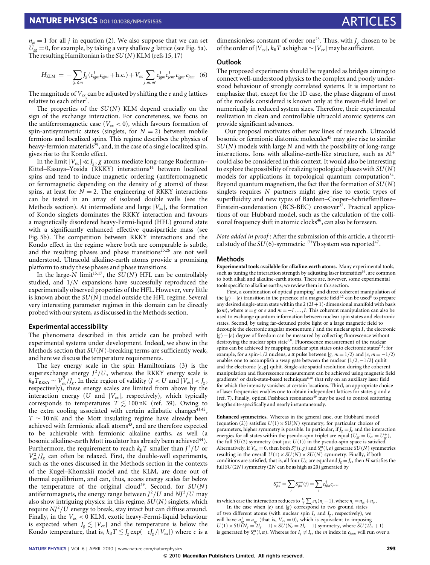$n_{ie} = 1$  for all *j* in equation [\(2\)](#page-1-1). We also suppose that we can set  $U_{\sigma\sigma} = 0$ , for example, by taking a very shallow *g* lattice (see [Fig. 5a](#page-3-1)). The resulting Hamiltonian is the *SU*(*N*) KLM (refs [15,](#page-5-12) [17\)](#page-5-13)

$$
H_{\text{KLM}} = -\sum_{\langle j,i\rangle m} J_g(c_{igm}^{\dagger} c_{igm} + \text{h.c.}) + V_{ex} \sum_{j,m,m'} c_{igm}^{\dagger} c_{igm'}^{\dagger} c_{igm'}^{\dagger} c_{jem} \quad (6)
$$

The magnitude of *Vex* can be adjusted by shifting the *e* and *g* lattices relative to each other<sup>[7](#page-5-16)</sup>.

The properties of the *SU*(*N*) KLM depend crucially on the sign of the exchange interaction. For concreteness, we focus on the antiferromagnetic case ( $V_{ex}$  < 0), which favours formation of spin-antisymmetric states (singlets, for  $N = 2$ ) between mobile fermions and localized spins. This regime describes the physics of heavy-fermion materials<sup>[25](#page-6-1)</sup>, and, in the case of a single localized spin, gives rise to the Kondo effect.

In the limit  $|V_{ex}| \ll J_g$ , *g* atoms mediate long-range Ruderman– Kittel-Kasuya-Yosida (RKKY) interactions<sup>[14](#page-5-4)</sup> between localized spins and tend to induce magnetic ordering (antiferromagnetic or ferromagnetic depending on the density of *g* atoms) of these spins, at least for  $N = 2$ . The engineering of RKKY interactions can be tested in an array of isolated double wells (see the Methods section). At intermediate and large  $|V_{ex}|$ , the formation of Kondo singlets dominates the RKKY interaction and favours a magnetically disordered heavy-Fermi-liquid (HFL) ground state with a significantly enhanced effective quasiparticle mass (see [Fig. 5b](#page-3-1)). The competition between RKKY interactions and the Kondo effect in the regime where both are comparable is subtle, and the resulting phases and phase transitions<sup>[25,](#page-6-1)[26](#page-6-0)</sup> are not well understood. Ultracold alkaline-earth atoms provide a promising platform to study these phases and phase transitions.

In the large- $N$  limit<sup>[15](#page-5-12)[,17](#page-5-13)</sup>, the  $SU(N)$  HFL can be controllably studied, and 1/*N* expansions have successfully reproduced the experimentally observed properties of the HFL. However, very little is known about the *SU*(*N*) model outside the HFL regime. Several very interesting parameter regimes in this domain can be directly probed with our system, as discussed in the Methods section.

#### **Experimental accessibility**

The phenomena described in this article can be probed with experimental systems under development. Indeed, we show in the Methods section that *SU*(*N*)-breaking terms are sufficiently weak, and here we discuss the temperature requirements.

The key energy scale in the spin Hamiltonians [\(3\)](#page-2-2) is the superexchange energy  $J^2/U$ , whereas the RKKY energy scale is  $k_{\text{B}}T_{\text{RKKY}} \sim V_{ex}^2/J_g$ . In their region of validity (*J* < *U* and  $|V_{ex}|$  < *J<sub>g</sub>*, respectively), these energy scales are limited from above by the interaction energy ( $U$  and  $|V_{ex}|$ , respectively), which typically corresponds to temperatures  $T \lesssim 100$  nK (ref. [39\)](#page-6-9). Owing to the extra cooling associated with certain adiabatic changes<sup>[41,](#page-6-14)[42](#page-6-15)</sup>, *T* ∼ 10 nK and the Mott insulating regime have already been achieved with fermionic alkali atoms $43$ , and are therefore expected to be achievable with fermionic alkaline earths, as well (a bosonic alkaline-earth Mott insulator has already been achieved<sup>[44](#page-6-17)</sup>). Furthermore, the requirement to reach  $k_B T$  smaller than  $J^2/U$  or  $V_{\text{ex}}^2 / J_g$  can often be relaxed. First, the double-well experiments, such as the ones discussed in the Methods section in the contexts of the Kugel–Khomskii model and the KLM, are done out of thermal equilibrium, and can, thus, access energy scales far below the temperature of the original cloud<sup>[39](#page-6-9)</sup>. Second, for  $SU(N)$ antiferromagnets, the energy range between  $J^2/U$  and  $NI^2/U$  may also show intriguing physics: in this regime, *SU*(*N*) singlets, which require *NJ<sup>2</sup>/U* energy to break, stay intact but can diffuse around. Finally, in the *Vex* < 0 KLM, exotic heavy-Fermi-liquid behaviour is expected when  $J_g \lesssim |V_{ex}|$  and the temperature is below the Kondo temperature, that is,  $k_B T \lesssim J_g \exp(-c J_g / |V_{ex}|)$  where *c* is a dimensionless constant of order one<sup>[25](#page-6-1)</sup>. Thus, with  $J<sub>g</sub>$  chosen to be of the order of  $|V_{ex}|$ ,  $k_B T$  as high as  $\sim |V_{ex}|$  may be sufficient.

# <span id="page-4-0"></span>**Outlook**

The proposed experiments should be regarded as bridges aiming to connect well-understood physics to the complex and poorly understood behaviour of strongly correlated systems. It is important to emphasize that, except for the 1D case, the phase diagram of most of the models considered is known only at the mean-field level or numerically in reduced system sizes. Therefore, their experimental realization in clean and controllable ultracold atomic systems can provide significant advances.

Our proposal motivates other new lines of research. Ultracold bosonic or fermionic diatomic molecules<sup>[45](#page-6-18)</sup> may give rise to similar *SU*(*N*) models with large *N* and with the possibility of long-range interactions. Ions with alkaline-earth-like structure, such as Al<sup>+</sup> could also be considered in this context. It would also be interesting to explore the possibility of realizing topological phases with *SU*(*N*) models for applications in topological quantum computation $34$ . Beyond quantum magnetism, the fact that the formation of *SU*(*N*) singlets requires *N* partners might give rise to exotic types of superfluidity and new types of Bardeen–Cooper–Schrieffer/Bose– Einstein-condensation (BCS-BEC) crossover $37$ . Practical applications of our Hubbard model, such as the calculation of the colli-sional frequency shift in atomic clocks<sup>[46](#page-6-19)</sup>, can also be foreseen.

*Note added in proof* : After the submission of this article, a theoretical study of the  $SU(6)$ -symmetric  $^{173}Yb$  system was reported<sup>[47](#page-6-20)</sup>.

#### **Methods**

**Experimental tools available for alkaline-earth atoms.** Many experimental tools, such as tuning the interaction strength by adjusting laser intensities $39$ , are common to both alkali and alkaline-earth atoms. There are, however, some experimental tools specific to alkaline earths; we review them in this section.

First, a combination of optical pumping<sup>[2](#page-5-7)</sup> and direct coherent manipulation of the  $|g\rangle - |e\rangle$  transition in the presence of a magnetic field<sup>[1](#page-5-0)[,2](#page-5-7)</sup> can be used<sup>[8](#page-5-1)</sup> to prepare any desired single-atom state within the  $2(2I+1)$ -dimensional manifold with basis  $|\alpha m\rangle$ , where  $\alpha = g$  or *e* and  $m = -I, ..., I$ . This coherent manipulation can also be used to exchange quantum information between nuclear spin states and electronic states. Second, by using far-detuned probe light or a large magnetic field to decouple the electronic angular momentum *J* and the nuclear spin *I*, the electronic  $|g\rangle - |e\rangle$  degree of freedom can be measured by collecting fluorescence without destroying the nuclear spin state<sup>[5,](#page-5-17)[8](#page-5-1)</sup>. Fluorescence measurement of the nuclear spins can be achieved by mapping nuclear spin states onto electronic states<sup>[7,](#page-5-16)[8](#page-5-1)</sup>: for example, for a spin-1/2 nucleus, a  $\pi$  pulse between  $|g, m = 1/2\rangle$  and  $|e, m = -1/2\rangle$ enables one to accomplish a swap gate between the nuclear {1/2,−1/2} qubit and the electronic  ${e, g}$  qubit. Single-site spatial resolution during the coherent manipulation and fluorescence measurement can be achieved using magnetic field gradients<sup>[7](#page-5-16)</sup> or dark-state-based techniques<sup>[8,](#page-5-1)[48](#page-6-21)</sup> that rely on an auxiliary laser field for which the intensity vanishes at certain locations. Third, an appropriate choice of laser frequencies enables one to obtain independent lattices for states *g* and *e* (ref. [7\)](#page-5-16). Finally, optical Feshbach resonances<sup>[49](#page-6-22)</sup> may be used to control scattering lengths site-specifically and nearly instantaneously.

**Enhanced symmetries.** Whereas in the general case, our Hubbard model (equation [\(2\)](#page-1-1)) satisfies  $U(1) \times SU(N)$  symmetry, for particular choices of parameters, higher symmetry is possible. In particular, if  $J_g = J_e$  and the interaction energies for all states within the pseudo-spin triplet are equal ( $U_{gg} = U_{ee} = U_{eg}^+$ ), the full *SU*(2) symmetry (not just *U*(1)) in the pseudo-spin space is satisfied. Alternatively, if  $V_{ex} = 0$ , then both  $S_n^m(i, g)$  and  $S_n^m(i, e)$  generate  $SU(N)$  symmetries resulting in the overall  $U(1) \times SU(N) \times SU(N)$  symmetry. Finally, if both conditions are satisfied, that is, all four  $U_X$  are equal and  $J_g = J_e$ , then *H* satisfies the full *SU*(2*N*) symmetry (2*N* can be as high as 20) generated by

$$
S_{\beta n}^{\alpha m} = \sum_j S_{\beta n}^{\alpha m}(j) = \sum_j c_{j\beta n}^{\dagger} c_{j\alpha m}
$$

in which case the interaction reduces to  $\frac{U}{2}\sum_j n_j(n_j-1)$ , where  $n_j = n_{jg} + n_{je}$ . In the case when  $|e\rangle$  and  $|g\rangle$  correspond to two ground states

of two different atoms (with nuclear spin  $I_e$  and  $I_g$ , respectively), we will have  $a_{cg}^+ = a_{cg}^-$  (that is,  $V_{ex} = 0$ ), which is equivalent to imposing  $U(1) \times SU(N_g = 2I_g + 1) \times SU(N_e = 2I_e + 1)$  symmetry, where  $SU(2I_a + 1)$ is generated by  $S_n^m(i, \alpha)$ . Whereas for  $I_g \neq I_e$ , the *m* index in  $c_{j \alpha m}$  will run over a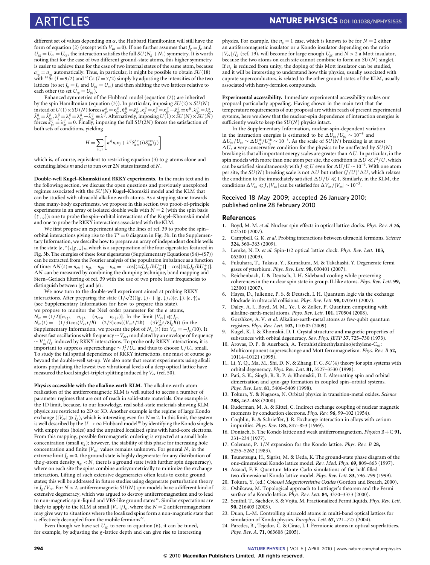different set of values depending on  $\alpha$ , the Hubbard Hamiltonian will still have the form of equation [\(2\)](#page-1-1) (except with  $V_{ex} = 0$ ). If one further assumes that  $J_g = J_e$  and  $U_{gg} = U_{ee} = U_{eg}$ , the interaction satisfies the full *SU*( $N_g + N_e$ ) symmetry. It is worth noting that for the case of two different ground-state atoms, this higher symmetry is easier to achieve than for the case of two internal states of the same atom, because  $a_{eg}^+ = a_{eg}^-$  automatically. Thus, in particular, it might be possible to obtain *SU*(18) with <sup>87</sup>Sr ( $I = 9/2$ ) and <sup>43</sup>Ca ( $I = 7/2$ ) simply by adjusting the intensities of the two lattices (to set  $J_g = J_e$  and  $U_{gg} = U_{ee}$ ) and then shifting the two lattices relative to each other (to set  $U_{eg} = U_{gg}$ ).

Enhanced symmetries of the Hubbard model (equation [\(2\)](#page-1-1)) are inherited by the spin Hamiltonian (equation [\(3\)](#page-2-2)). In particular, imposing  $SU(2) \times SU(N)$ instead of  $U(1) \times SU(N)$  forces  $\kappa_{ge}^{ij} = \kappa_{ge}^{ji}, \tilde{\kappa}_{ge}^{ji} = \tilde{\kappa}_{ge}^{ij}, \kappa_{ge}^{ij} = \kappa_{ge}^{ji} + \kappa_{ge}^{ij} + \kappa_{ge}^{ij} = \kappa_{ge}^{ji} + \lambda_{ge}^{ji} = \kappa_{ge}^{ji}$ <br>  $\tilde{\lambda}_{ge}^{ji} = \tilde{\lambda}_{ge}^{ji} = \lambda_{e}^{ji} = \lambda_{ge}^{ji} + \tilde{\lambda}_{ge}^{ji} = \lambda^{ji}$ . Alternativel forces  $\tilde{\kappa}_{ge}^{ij} = \lambda_{ge}^{ij} = 0$ . Finally, imposing the full *SU*(2*N*) forces the satisfaction of both sets of conditions, yielding

$$
H = \sum_{\langle i,j \rangle} \left[ \kappa^{ij} n_i n_j + \lambda^{ij} S_{\alpha m}^{\beta n}(i) S_{\beta n}^{\alpha m}(j) \right]
$$

which is, of course, equivalent to restricting equation [\(3\)](#page-2-2) to *g* atoms alone and extending labels *m* and *n* to run over 2*N* states instead of *N*.

**Double-well Kugel–Khomskii and RKKY experiments.** In the main text and in the following section, we discuss the open questions and previously unexplored regimes associated with the *SU*(*N*) Kugel–Khomskii model and the KLM that can be studied with ultracold alkaline-earth atoms. As a stepping stone towards these many-body experiments, we propose in this section two proof-of-principle experiments in an array of isolated double wells with  $N = 2$  (with the spin basis {↑,↓}): one to probe the spin–orbital interactions of the Kugel–Khomskii model and one to probe the RKKY interactions associated with the KLM.

We first propose an experiment along the lines of ref. [39](#page-6-9) to probe the spin– orbital interactions giving rise to the  $T^2 = 0$  diagram in [Fig. 3b](#page-2-1). In the Supplementary Information, we describe how to prepare an array of independent double wells in the state  $|e, \uparrow\rangle_L|g, \downarrow\rangle_R$ , which is a superposition of the four eigenstates featured in [Fig. 3b](#page-2-1). The energies of these four eigenstates (Supplementary Equations (S4)–(S7)) can be extracted from the Fourier analysis of the population imbalance as a function of time:  $\Delta N(t) = n_{eR} + n_{gL} - n_{gR} - n_{eL} = -\cos[(4tJ_eJ_g/\hbar U_{eg}^{-})] - \cos[(4tJ_eJ_g/\hbar U_{eg}^{+})]$ .  $\Delta N$  can be measured by combining the dumping technique, band mapping and Stern–Gerlach filtering of ref. [39](#page-6-9) with the use of two probe laser frequencies to distinguish between  $|g\rangle$  and  $|e\rangle$ .

We now turn to the double-well experiment aimed at probing RKKY √ interactions. After preparing the state  $(1/\sqrt{2})(|g,\downarrow\rangle_L + |g,\downarrow\rangle_R)|e,\downarrow\rangle_L|e,\uparrow\rangle_R$ (see Supplementary Information for how to prepare this state), we propose to monitor the Néel order parameter for the *e* atoms,  $N_{ez} = (1/2)[n_{e\uparrow L} - n_{e\downarrow L} - (n_{e\uparrow R} - n_{e\downarrow R})]$ . In the limit  $|V_{ex}| \ll J_g$ ,<br>  $N_{ez}(t) = -(1/3)\cos(V_{ex}t/\hbar) - (2/3)\cos((V_{ex}t/2\hbar) - (3V_{ex}^2t/8J_g\hbar))$  (in the Supplementary Information, we present the plot of  $N_{ez}(t)$  for  $\tilde{V}_{ex} = -J_g/10$ ). It shows fast oscillations with frequency ∼*Vex* , modulated by an envelope of frequency ∼  $V_{ex}^2/J_s$  induced by RKKY interactions. To probe only RKKY interactions, it is important to suppress superexchange ∼ *J* 2 *e* /*Uee* and thus to choose *Je*/*Uee* small. To study the full spatial dependence of RKKY interactions, one must of course go beyond the double-well set-up. We also note that recent experiments using alkali atoms populating the lowest two vibrational levels of a deep optical lattice have measured the local singlet-triplet splitting induced by *Vex* (ref[. 50\)](#page-6-23).

**Physics accessible with the alkaline-earth KLM.** The alkaline-earth atom realization of the antiferromagnetic KLM is well suited to access a number of parameter regimes that are out of reach in solid-state materials. One example is the 1D limit, because, to our knowledge, real solid-state materials showing KLM physics are restricted to 2D or 3D. Another example is the regime of large Kondo exchange ( $|V_{ex}| \gg J_g$ ), which is interesting even for  $N = 2$ . In this limit, the system is well described by the  $U \rightarrow \infty$  Hubbard model<sup>[18](#page-5-18)</sup> by identifying the Kondo singlets with empty sites (holes) and the unpaired localized spins with hard-core electrons. From this mapping, possible ferromagnetic ordering is expected at a small hole concentration (small  $n_g$ ); however, the stability of this phase for increasing hole concentration and finite  $|V_{ex}|$  values remains unknown. For general  $N$ , in the extreme limit  $J_g = 0$ , the ground state is highly degenerate: for any distribution of the *g*-atom density  $n_{ig}$  < *N*, there is a ground state (with further spin degeneracy), where on each site the spins combine antisymmetrically to minimize the exchange interaction. Lifting of such extensive degeneracies often leads to exotic ground states; this will be addressed in future studies using degenerate perturbation theory in  $J_g/V_{ex}$ . For  $N > 2$ , antiferromagnetic  $SU(N)$  spin models have a different kind of extensive degeneracy, which was argued to destroy antiferromagnetism and to lead to non-magnetic spin-liquid and VBS-like ground states<sup>[34](#page-6-3)</sup>. Similar expectations are likely to apply to the KLM at small  $|V_{ex}|/J_g$ , where the  $N = 2$  antiferromagnetism may give way to situations where the localized spins form a non-magnetic state that is effectively decoupled from the mobile fermions<sup>[22](#page-5-19)</sup>.

Even though we have set  $U_{gg}$  to zero in equation [\(6\)](#page-4-0), it can be tuned, for example, by adjusting the *g* -lattice depth and can give rise to interesting physics. For example, the  $n_g = 1$  case, which is known to be for  $N = 2$  either an antiferromagnetic insulator or a Kondo insulator depending on the ratio  $|V_{ex}|/J_g$  (ref. [19\)](#page-5-20), will become for large enough  $U_{gg}$  and  $N > 2$  a Mott insulator, because the two atoms on each site cannot combine to form an *SU*(*N*) singlet. If  $n_g$  is reduced from unity, the doping of this Mott insulator can be studied, and it will be interesting to understand how this physics, usually associated with cuprate superconductors, is related to the other ground states of the KLM, usually associated with heavy-fermion compounds.

**Experimental accessibility.** Immediate experimental accessibility makes our proposal particularly appealing. Having shown in the main text that the temperature requirements of our proposal are within reach of present experimental systems, here we show that the nuclear-spin dependence of interaction energies is sufficiently weak to keep the *SU*(*N*) physics intact.

In the Supplementary Information, nuclear-spin-dependent variation in the interaction energies is estimated to be  $\Delta U_{gg}/U_{gg} \sim 10^{-9}$  and  $\Delta U_{ee}/U_{ee} \sim \Delta U_{eg}^{\pm}/U_{eg}^{\pm} \sim 10^{-3}$ . As the scale of *SU*(*N*) breaking is at most  $\Delta U$ , a very conservative condition for the physics to be unaffected by  $SU(N)$ breaking is that all important energy scales are greater than  $\Delta U$ . In particular, in the spin models with more than one atom per site, the condition is  $\Delta U \ll J^2/U$ , which can be satisfied simultaneously with *J*  $\ll$  *U* even for  $\Delta U/U \sim 10^{-3}$ . With one atom per site, the *SU*(*N*) breaking scale is not  $\Delta U$  but rather  $(J/U)^2 \Delta U$ , which relaxes the condition to the immediately satisfied  $\Delta U/U \ll 1$ . Similarly, in the KLM, the conditions  $\Delta V_{ex} \ll J$ , | $V_{ex}$  | can be satisfied for  $\Delta V_{ex}/|V_{ex}| \sim 10^{-3}$ .

# Received 18 May 2009; accepted 26 January 2010; published online 28 February 2010

#### **References**

- <span id="page-5-0"></span>1. Boyd, M. M. *et al*. Nuclear spin effects in optical lattice clocks. *Phys. Rev. A* **76,** 022510 (2007).
- <span id="page-5-7"></span>2. Campbell, G. K. *et al*. Probing interactions between ultracold fermions. *Science* **324,** 360–363 (2009).
- 3. Lemke, N. D. *et al*. Spin-1/2 optical lattice clock. *Phys. Rev. Lett.* **103,** 063001 (2009).
- 4. Fukuhara, T., Takasu, Y., Kumakura, M. & Takahashi, Y. Degenerate fermi gases of ytterbium. *Phys. Rev. Lett.* **98,** 030401 (2007).
- <span id="page-5-17"></span>5. Reichenbach, I. & Deutsch, I. H. Sideband cooling while preserving coherences in the nuclear spin state in group-II-like atoms. *Phys. Rev. Lett.* **99,** 123001 (2007).
- 6. Hayes, D., Julienne, P. S. & Deutsch, I. H. Quantum logic via the exchange blockade in ultracold collisions. *Phys. Rev. Lett.* **98,** 070501 (2007).
- <span id="page-5-16"></span>7. Daley, A. J., Boyd, M. M., Ye, J. & Zoller, P. Quantum computing with alkaline-earth-metal atoms. *Phys. Rev. Lett.* **101,** 170504 (2008).
- <span id="page-5-1"></span>8. Gorshkov, A. V. *et al*. Alkaline-earth-metal atoms as few-qubit quantum registers. *Phys. Rev. Lett.* **102,** 110503 (2009).
- <span id="page-5-2"></span>9. Kugel, K. I. & Khomskii, D. I. Crystal structure and magnetic properties of substances with orbital degeneracy. *Sov. Phys. JETP* **37,** 725–730 (1973).
- <span id="page-5-8"></span>10. Arovas, D. P. & Auerbach, A. Tetrahis(dimethylamino)ethylene-C<sub>60</sub>: Multicomponent superexchange and Mott ferromagnetism. *Phys. Rev. B* **52,** 10114–10121 (1995).
- <span id="page-5-6"></span>11. Li, Y. Q., Ma, M., Shi, D. N. & Zhang, F. C. *SU*(4) theory for spin systems with orbital degeneracy. *Phys. Rev. Lett.* **81,** 3527–3530 (1998).
- <span id="page-5-9"></span>12. Pati, S. K., Singh, R. R. P. & Khomskii, D. I. Alternating spin and orbital dimerization and spin-gap formation in coupled spin–orbital systems. *Phys. Rev. Lett.* **81,** 5406–5409 (1998).
- <span id="page-5-3"></span>13. Tokura, Y. & Nagaosa, N. Orbital physics in transition-metal oxides. *Science* **288,** 462–468 (2000).
- <span id="page-5-4"></span>14. Ruderman, M. A. & Kittel, C. Indirect exchange coupling of nuclear magnetic moments by conduction electrons. *Phys. Rev.* **96,** 99–102 (1954).
- <span id="page-5-12"></span>15. Coqblin, B. & Schrieffer, J. R. Exchange interaction in alloys with cerium impurities. *Phys. Rev.* **185,** 847–853 (1969).
- <span id="page-5-10"></span>16. Doniach, S. The Kondo lattice and weak antiferromagnetism. *Physica* B+C **91,** 231–234 (1977).
- <span id="page-5-13"></span>17. Coleman, P. 1/*N* expansion for the Kondo lattice. *Phys. Rev. B* **28,** 5255–5262 (1983).
- <span id="page-5-18"></span>18. Tsunetsugu, H., Sigrist, M. & Ueda, K. The ground-state phase diagram of the one-dimensional Kondo lattice model. *Rev. Mod. Phys.* **69,** 809–863 (1997).
- <span id="page-5-20"></span>19. Assaad, F. F. Quantum Monte Carlo simulations of the half-filled two-dimensional Kondo lattice model. *Phys. Rev. Lett.* **83,** 796–799 (1999).
- <span id="page-5-5"></span>20. Tokura, Y. (ed.) *Colossal Magnetoresistive Oxides* (Gordon and Breach, 2000).
- <span id="page-5-11"></span>21. Oshikawa, M. Topological approach to Luttinger's theorem and the Fermi surface of a Kondo lattice. *Phys. Rev. Lett.* **84,** 3370–3373 (2000).
- <span id="page-5-19"></span>22. Senthil, T., Sachdev, S. & Vojta, M. Fractionalized Fermi liquids. *Phys. Rev. Lett.* **90,** 216403 (2003).
- <span id="page-5-14"></span>23. Duan, L.-M. Controlling ultracold atoms in multi-band optical lattices for simulation of Kondo physics. *Europhys. Lett.* **67,** 721–727 (2004).
- <span id="page-5-15"></span>24. Paredes, B., Tejedor, C. & Cirac, J. I. Fermionic atoms in optical superlattices. *Phys. Rev. A.* **71,** 063608 (2005).